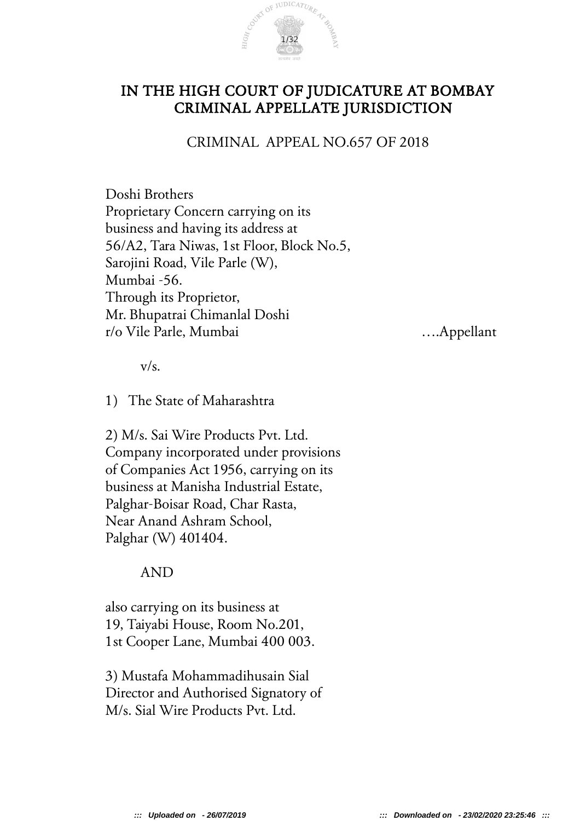

# IN THE HIGH COURT OF JUDICATURE AT BOMBAY CRIMINAL APPELLATE JURISDICTION

CRIMINAL APPEAL NO.657 OF 2018

Doshi Brothers Proprietary Concern carrying on its business and having its address at 56/A2, Tara Niwas, 1st Floor, Block No.5, Sarojini Road, Vile Parle (W), Mumbai -56. Through its Proprietor, Mr. Bhupatrai Chimanlal Doshi r/o Vile Parle, Mumbai ….Appellant

 $v/s$ .

1) The State of Maharashtra

2) M/s. Sai Wire Products Pvt. Ltd. Company incorporated under provisions of Companies Act 1956, carrying on its business at Manisha Industrial Estate, Palghar-Boisar Road, Char Rasta, Near Anand Ashram School, Palghar (W) 401404.

### AND

also carrying on its business at 19, Taiyabi House, Room No.201, 1st Cooper Lane, Mumbai 400 003.

3) Mustafa Mohammadihusain Sial Director and Authorised Signatory of M/s. Sial Wire Products Pvt. Ltd.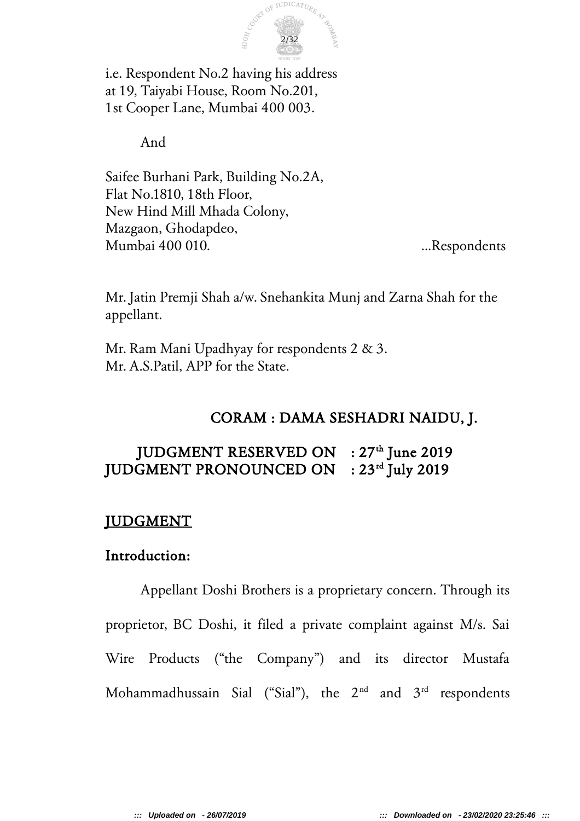

i.e. Respondent No.2 having his address at 19, Taiyabi House, Room No.201, 1st Cooper Lane, Mumbai 400 003.

And

Saifee Burhani Park, Building No.2A, Flat No.1810, 18th Floor, New Hind Mill Mhada Colony, Mazgaon, Ghodapdeo, Mumbai 400 010. ...Respondents

Mr. Jatin Premji Shah a/w. Snehankita Munj and Zarna Shah for the appellant.

Mr. Ram Mani Upadhyay for respondents 2 & 3. Mr. A.S.Patil, APP for the State.

# CORAM : DAMA SESHADRI NAIDU, J.

# JUDGMENT RESERVED ON : 27<sup>th</sup> June 2019 JUDGMENT PRONOUNCED ON : 23<sup>rd</sup> July 2019

# JUDGMENT

# Introduction:

Appellant Doshi Brothers is a proprietary concern. Through its proprietor, BC Doshi, it filed a private complaint against M/s. Sai Wire Products ("the Company") and its director Mustafa Mohammadhussain Sial ("Sial"), the  $2<sup>nd</sup>$  and  $3<sup>rd</sup>$  respondents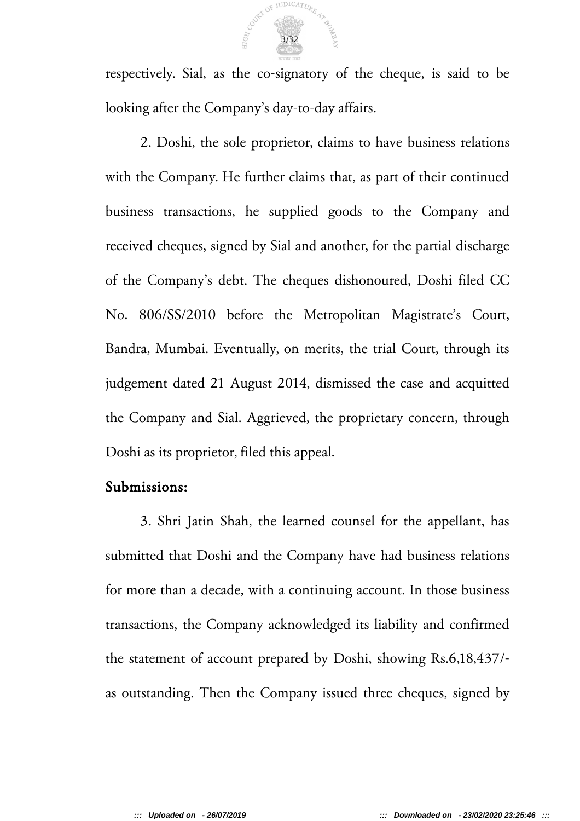

respectively. Sial, as the co-signatory of the cheque, is said to be looking after the Company's day-to-day affairs.

2. Doshi, the sole proprietor, claims to have business relations with the Company. He further claims that, as part of their continued business transactions, he supplied goods to the Company and received cheques, signed by Sial and another, for the partial discharge of the Company's debt. The cheques dishonoured, Doshi filed CC No. 806/SS/2010 before the Metropolitan Magistrate's Court, Bandra, Mumbai. Eventually, on merits, the trial Court, through its judgement dated 21 August 2014, dismissed the case and acquitted the Company and Sial. Aggrieved, the proprietary concern, through Doshi as its proprietor, filed this appeal.

#### Submissions:

3. Shri Jatin Shah, the learned counsel for the appellant, has submitted that Doshi and the Company have had business relations for more than a decade, with a continuing account. In those business transactions, the Company acknowledged its liability and confirmed the statement of account prepared by Doshi, showing Rs.6,18,437/ as outstanding. Then the Company issued three cheques, signed by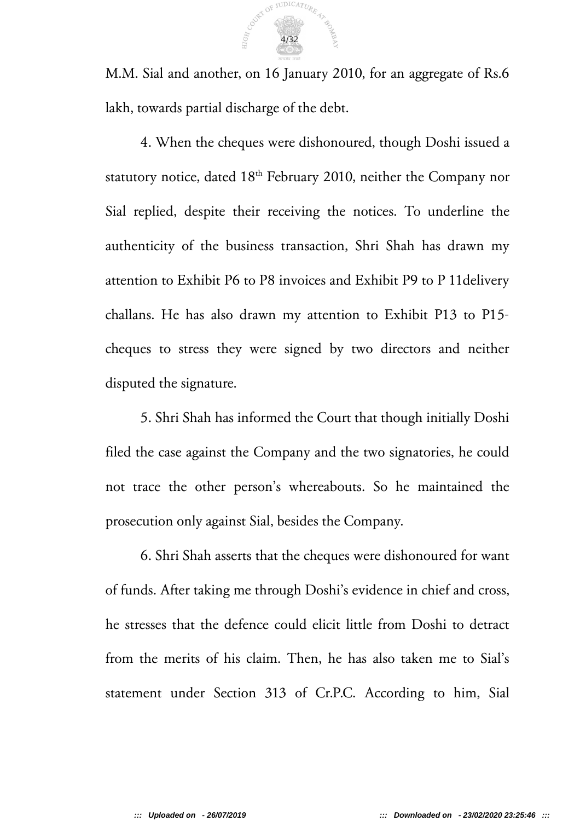

M.M. Sial and another, on 16 January 2010, for an aggregate of Rs.6 lakh, towards partial discharge of the debt.

4. When the cheques were dishonoured, though Doshi issued a statutory notice, dated  $18<sup>th</sup>$  February 2010, neither the Company nor Sial replied, despite their receiving the notices. To underline the authenticity of the business transaction, Shri Shah has drawn my attention to Exhibit P6 to P8 invoices and Exhibit P9 to P 11delivery challans. He has also drawn my attention to Exhibit P13 to P15 cheques to stress they were signed by two directors and neither disputed the signature.

5. Shri Shah has informed the Court that though initially Doshi filed the case against the Company and the two signatories, he could not trace the other person's whereabouts. So he maintained the prosecution only against Sial, besides the Company.

6. Shri Shah asserts that the cheques were dishonoured for want of funds. After taking me through Doshi's evidence in chief and cross, he stresses that the defence could elicit little from Doshi to detract from the merits of his claim. Then, he has also taken me to Sial's statement under Section 313 of Cr.P.C. According to him, Sial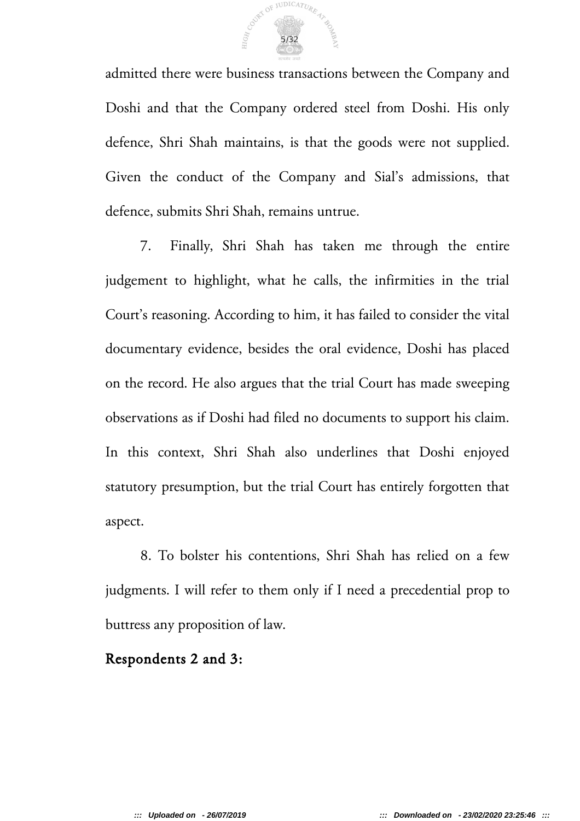

admitted there were business transactions between the Company and Doshi and that the Company ordered steel from Doshi. His only defence, Shri Shah maintains, is that the goods were not supplied. Given the conduct of the Company and Sial's admissions, that defence, submits Shri Shah, remains untrue.

7. Finally, Shri Shah has taken me through the entire judgement to highlight, what he calls, the infirmities in the trial Court's reasoning. According to him, it has failed to consider the vital documentary evidence, besides the oral evidence, Doshi has placed on the record. He also argues that the trial Court has made sweeping observations as if Doshi had filed no documents to support his claim. In this context, Shri Shah also underlines that Doshi enjoyed statutory presumption, but the trial Court has entirely forgotten that aspect.

8. To bolster his contentions, Shri Shah has relied on a few judgments. I will refer to them only if I need a precedential prop to buttress any proposition of law.

### Respondents 2 and 3: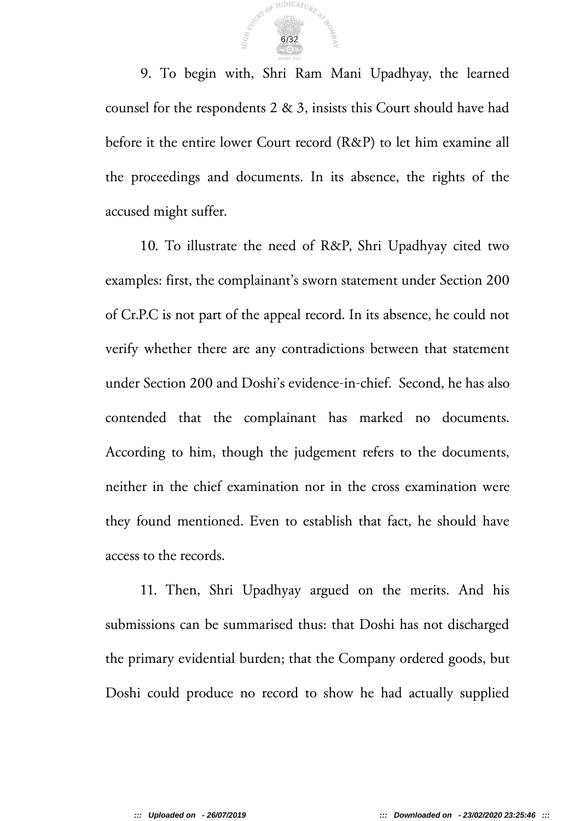

9. To begin with, Shri Ram Mani Upadhyay, the learned counsel for the respondents  $2 \& 3$ , insists this Court should have had before it the entire lower Court record (R&P) to let him examine all the proceedings and documents. In its absence, the rights of the accused might suffer.

10. To illustrate the need of R&P, Shri Upadhyay cited two examples: first, the complainant's sworn statement under Section 200 of Cr.P.C is not part of the appeal record. In its absence, he could not verify whether there are any contradictions between that statement under Section 200 and Doshi's evidence-in-chief. Second, he has also contended that the complainant has marked no documents. According to him, though the judgement refers to the documents, neither in the chief examination nor in the cross examination were they found mentioned. Even to establish that fact, he should have access to the records.

11. Then, Shri Upadhyay argued on the merits. And his submissions can be summarised thus: that Doshi has not discharged the primary evidential burden; that the Company ordered goods, but Doshi could produce no record to show he had actually supplied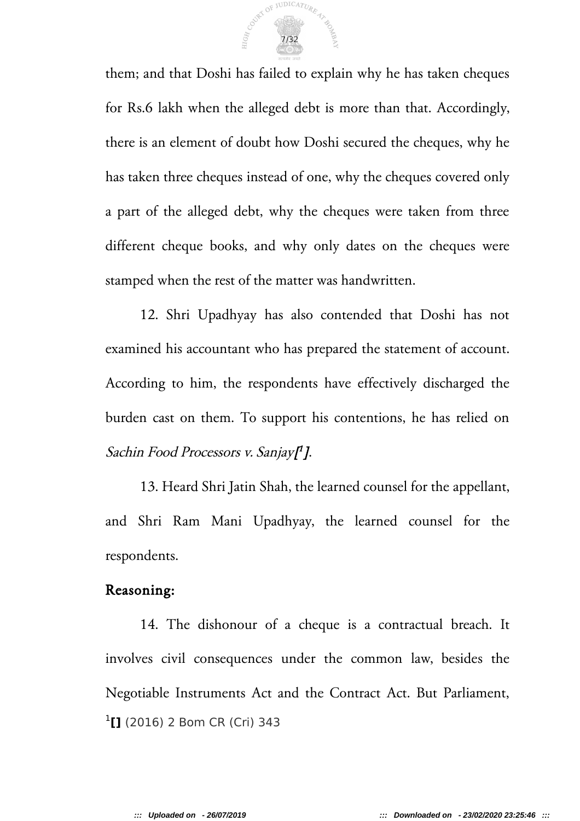

them; and that Doshi has failed to explain why he has taken cheques for Rs.6 lakh when the alleged debt is more than that. Accordingly, there is an element of doubt how Doshi secured the cheques, why he has taken three cheques instead of one, why the cheques covered only a part of the alleged debt, why the cheques were taken from three different cheque books, and why only dates on the cheques were stamped when the rest of the matter was handwritten.

12. Shri Upadhyay has also contended that Doshi has not examined his accountant who has prepared the statement of account. According to him, the respondents have effectively discharged the burden cast on them. To support his contentions, he has relied on Sachin Food Processors v. Sanjay[ 1 ].

13. Heard Shri Jatin Shah, the learned counsel for the appellant, and Shri Ram Mani Upadhyay, the learned counsel for the respondents.

#### Reasoning:

14. The dishonour of a cheque is a contractual breach. It involves civil consequences under the common law, besides the Negotiable Instruments Act and the Contract Act. But Parliament, 1 **[]** (2016) 2 Bom CR (Cri) 343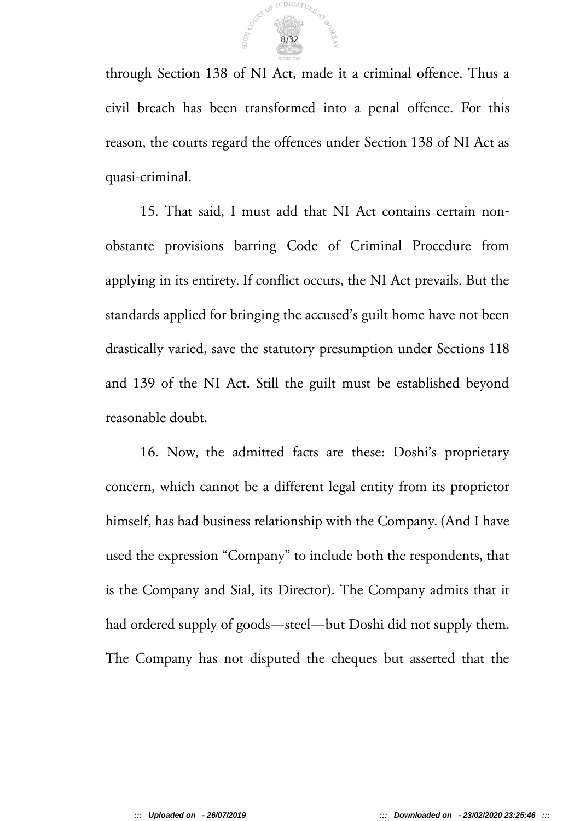

through Section 138 of NI Act, made it a criminal offence. Thus a civil breach has been transformed into a penal offence. For this reason, the courts regard the offences under Section 138 of NI Act as quasi-criminal.

15. That said, I must add that NI Act contains certain nonobstante provisions barring Code of Criminal Procedure from applying in its entirety. If conflict occurs, the NI Act prevails. But the standards applied for bringing the accused's guilt home have not been drastically varied, save the statutory presumption under Sections 118 and 139 of the NI Act. Still the guilt must be established beyond reasonable doubt.

16. Now, the admitted facts are these: Doshi's proprietary concern, which cannot be a different legal entity from its proprietor himself, has had business relationship with the Company. (And I have used the expression "Company" to include both the respondents, that is the Company and Sial, its Director). The Company admits that it had ordered supply of goods—steel—but Doshi did not supply them. The Company has not disputed the cheques but asserted that the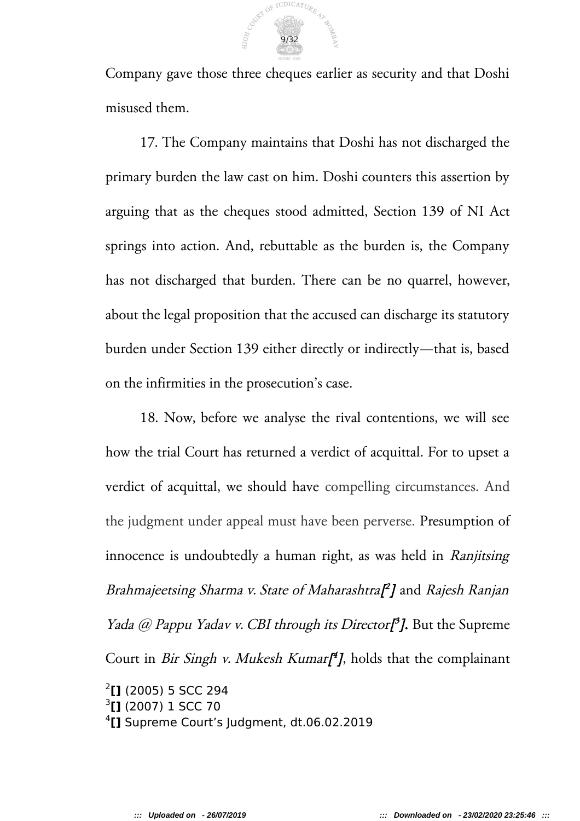

Company gave those three cheques earlier as security and that Doshi misused them.

17. The Company maintains that Doshi has not discharged the primary burden the law cast on him. Doshi counters this assertion by arguing that as the cheques stood admitted, Section 139 of NI Act springs into action. And, rebuttable as the burden is, the Company has not discharged that burden. There can be no quarrel, however, about the legal proposition that the accused can discharge its statutory burden under Section 139 either directly or indirectly—that is, based on the infirmities in the prosecution's case.

18. Now, before we analyse the rival contentions, we will see how the trial Court has returned a verdict of acquittal. For to upset a verdict of acquittal, we should have compelling circumstances. And the judgment under appeal must have been perverse. Presumption of innocence is undoubtedly a human right, as was held in *Ranjitsing* Brahmajeetsing Sharma v. State of Maharashtra[ 2 ] and Rajesh Ranjan *Yada @ Pappu Yadav v. CBI through its Director*<sup>3</sup>*]*. But the Supreme Court in *Bir Singh v. Mukesh Kumar*<sup>[4</sup>], holds that the complainant 2 **[]** (2005) 5 SCC 294 3 **[]** (2007) 1 SCC 70 4 **[]** Supreme Court's Judgment, dt.06.02.2019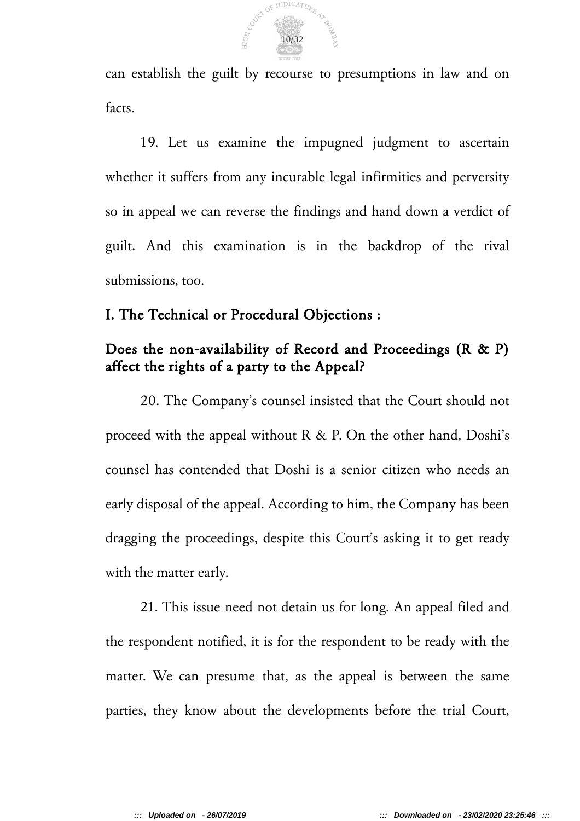

can establish the guilt by recourse to presumptions in law and on facts.

19. Let us examine the impugned judgment to ascertain whether it suffers from any incurable legal infirmities and perversity so in appeal we can reverse the findings and hand down a verdict of guilt. And this examination is in the backdrop of the rival submissions, too.

### I. The Technical or Procedural Objections :

# Does the non-availability of Record and Proceedings (R & P) affect the rights of a party to the Appeal?

20. The Company's counsel insisted that the Court should not proceed with the appeal without R & P. On the other hand, Doshi's counsel has contended that Doshi is a senior citizen who needs an early disposal of the appeal. According to him, the Company has been dragging the proceedings, despite this Court's asking it to get ready with the matter early.

21. This issue need not detain us for long. An appeal filed and the respondent notified, it is for the respondent to be ready with the matter. We can presume that, as the appeal is between the same parties, they know about the developments before the trial Court,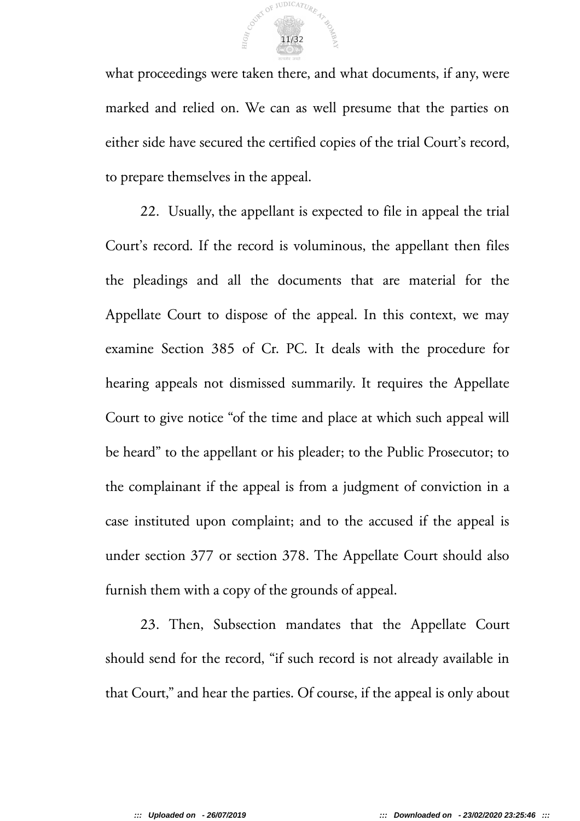

what proceedings were taken there, and what documents, if any, were marked and relied on. We can as well presume that the parties on either side have secured the certified copies of the trial Court's record, to prepare themselves in the appeal.

22. Usually, the appellant is expected to file in appeal the trial Court's record. If the record is voluminous, the appellant then files the pleadings and all the documents that are material for the Appellate Court to dispose of the appeal. In this context, we may examine Section 385 of Cr. PC. It deals with the procedure for hearing appeals not dismissed summarily. It requires the Appellate Court to give notice "of the time and place at which such appeal will be heard" to the appellant or his pleader; to the Public Prosecutor; to the complainant if the appeal is from a judgment of conviction in a case instituted upon complaint; and to the accused if the appeal is under section 377 or section 378. The Appellate Court should also furnish them with a copy of the grounds of appeal.

23. Then, Subsection mandates that the Appellate Court should send for the record, "if such record is not already available in that Court," and hear the parties. Of course, if the appeal is only about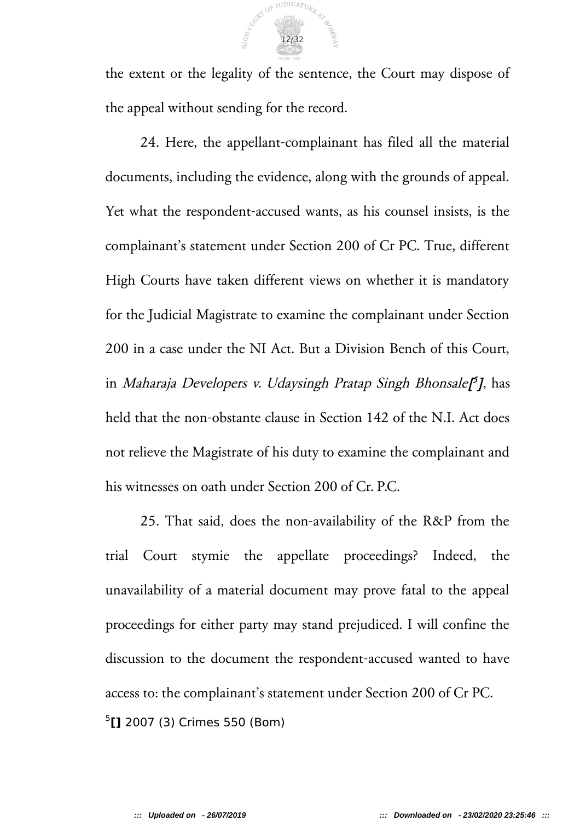

the extent or the legality of the sentence, the Court may dispose of the appeal without sending for the record.

24. Here, the appellant-complainant has filed all the material documents, including the evidence, along with the grounds of appeal. Yet what the respondent-accused wants, as his counsel insists, is the complainant's statement under Section 200 of Cr PC. True, different High Courts have taken different views on whether it is mandatory for the Judicial Magistrate to examine the complainant under Section 200 in a case under the NI Act. But a Division Bench of this Court, in *Maharaja Developers v. Udaysingh Pratap Singh Bhonsale[<sup>5</sup>], has* held that the non-obstante clause in Section 142 of the N.I. Act does not relieve the Magistrate of his duty to examine the complainant and his witnesses on oath under Section 200 of Cr. P.C.

25. That said, does the non-availability of the R&P from the trial Court stymie the appellate proceedings? Indeed, the unavailability of a material document may prove fatal to the appeal proceedings for either party may stand prejudiced. I will confine the discussion to the document the respondent-accused wanted to have access to: the complainant's statement under Section 200 of Cr PC. 5 **[]** 2007 (3) Crimes 550 (Bom)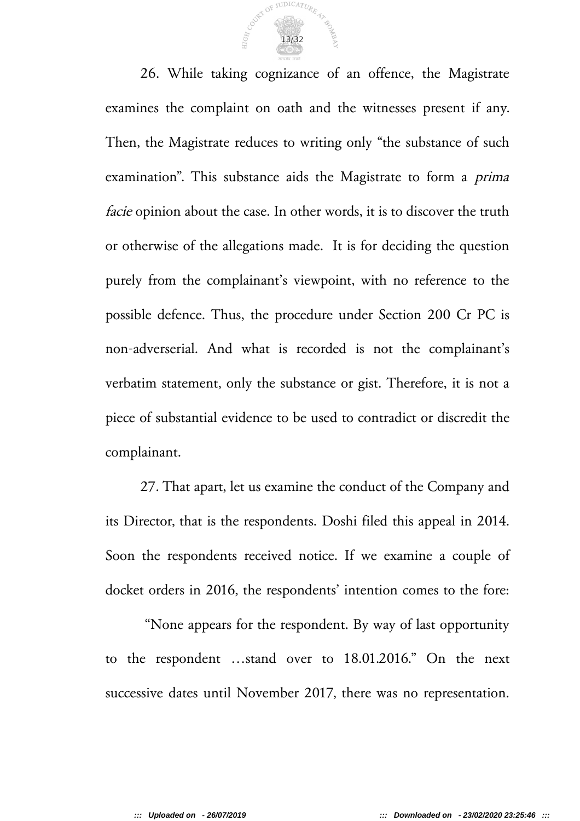

26. While taking cognizance of an offence, the Magistrate examines the complaint on oath and the witnesses present if any. Then, the Magistrate reduces to writing only "the substance of such examination". This substance aids the Magistrate to form a prima facie opinion about the case. In other words, it is to discover the truth or otherwise of the allegations made. It is for deciding the question purely from the complainant's viewpoint, with no reference to the possible defence. Thus, the procedure under Section 200 Cr PC is non-adverserial. And what is recorded is not the complainant's verbatim statement, only the substance or gist. Therefore, it is not a piece of substantial evidence to be used to contradict or discredit the complainant.

27. That apart, let us examine the conduct of the Company and its Director, that is the respondents. Doshi filed this appeal in 2014. Soon the respondents received notice. If we examine a couple of docket orders in 2016, the respondents' intention comes to the fore:

 "None appears for the respondent. By way of last opportunity to the respondent …stand over to 18.01.2016." On the next successive dates until November 2017, there was no representation.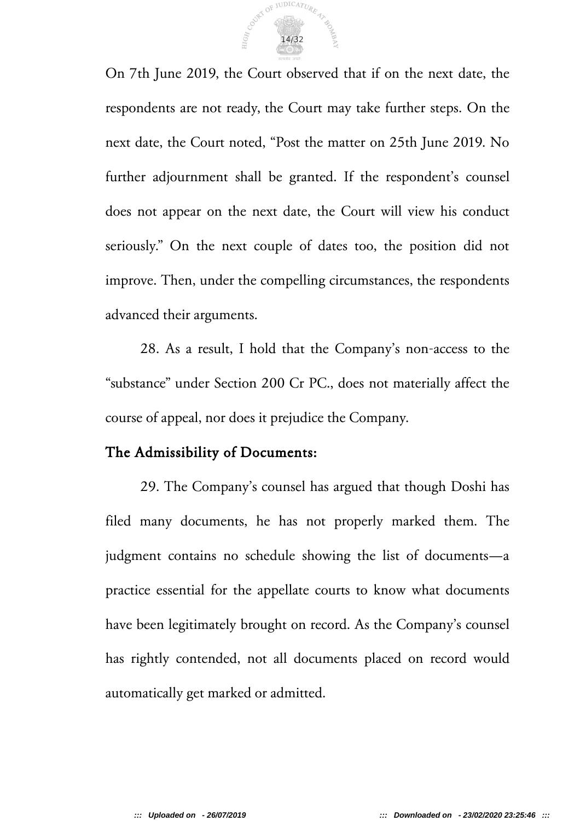

On 7th June 2019, the Court observed that if on the next date, the respondents are not ready, the Court may take further steps. On the next date, the Court noted, "Post the matter on 25th June 2019. No further adjournment shall be granted. If the respondent's counsel does not appear on the next date, the Court will view his conduct seriously." On the next couple of dates too, the position did not improve. Then, under the compelling circumstances, the respondents advanced their arguments.

28. As a result, I hold that the Company's non-access to the "substance" under Section 200 Cr PC., does not materially affect the course of appeal, nor does it prejudice the Company.

### The Admissibility of Documents:

29. The Company's counsel has argued that though Doshi has filed many documents, he has not properly marked them. The judgment contains no schedule showing the list of documents—a practice essential for the appellate courts to know what documents have been legitimately brought on record. As the Company's counsel has rightly contended, not all documents placed on record would automatically get marked or admitted.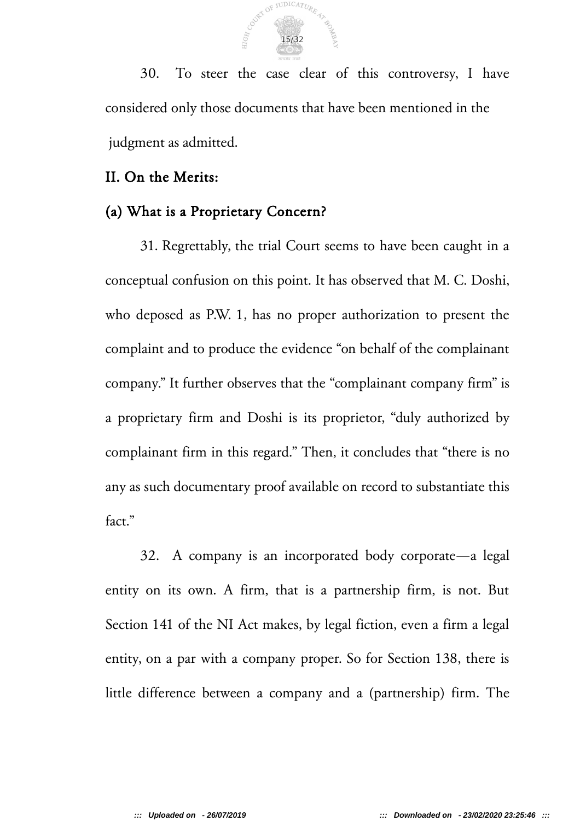

30. To steer the case clear of this controversy, I have considered only those documents that have been mentioned in the judgment as admitted.

### II. On the Merits:

### (a) What is a Proprietary Concern?

31. Regrettably, the trial Court seems to have been caught in a conceptual confusion on this point. It has observed that M. C. Doshi, who deposed as P.W. 1, has no proper authorization to present the complaint and to produce the evidence "on behalf of the complainant company." It further observes that the "complainant company firm" is a proprietary firm and Doshi is its proprietor, "duly authorized by complainant firm in this regard." Then, it concludes that "there is no any as such documentary proof available on record to substantiate this fact."

32. A company is an incorporated body corporate—a legal entity on its own. A firm, that is a partnership firm, is not. But Section 141 of the NI Act makes, by legal fiction, even a firm a legal entity, on a par with a company proper. So for Section 138, there is little difference between a company and a (partnership) firm. The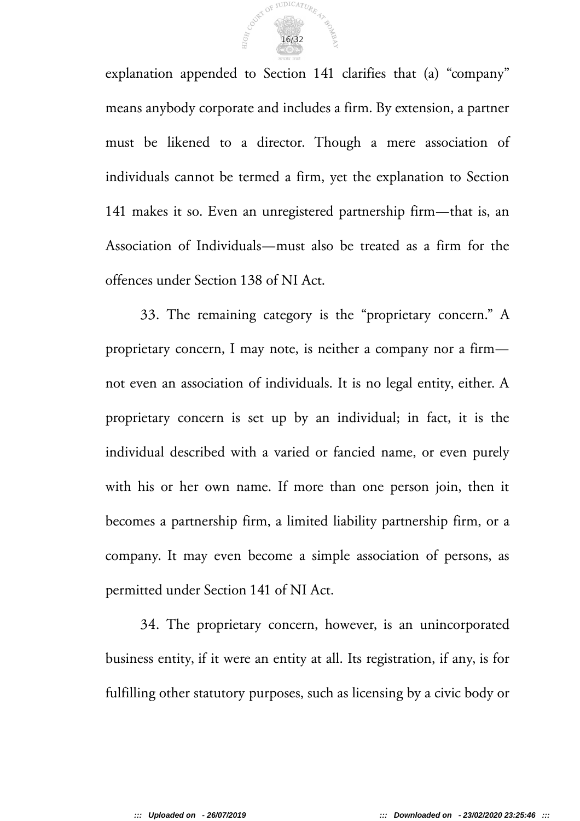

explanation appended to Section 141 clarifies that (a) "company" means anybody corporate and includes a firm. By extension, a partner must be likened to a director. Though a mere association of individuals cannot be termed a firm, yet the explanation to Section 141 makes it so. Even an unregistered partnership firm—that is, an Association of Individuals—must also be treated as a firm for the offences under Section 138 of NI Act.

33. The remaining category is the "proprietary concern." A proprietary concern, I may note, is neither a company nor a firm not even an association of individuals. It is no legal entity, either. A proprietary concern is set up by an individual; in fact, it is the individual described with a varied or fancied name, or even purely with his or her own name. If more than one person join, then it becomes a partnership firm, a limited liability partnership firm, or a company. It may even become a simple association of persons, as permitted under Section 141 of NI Act.

34. The proprietary concern, however, is an unincorporated business entity, if it were an entity at all. Its registration, if any, is for fulfilling other statutory purposes, such as licensing by a civic body or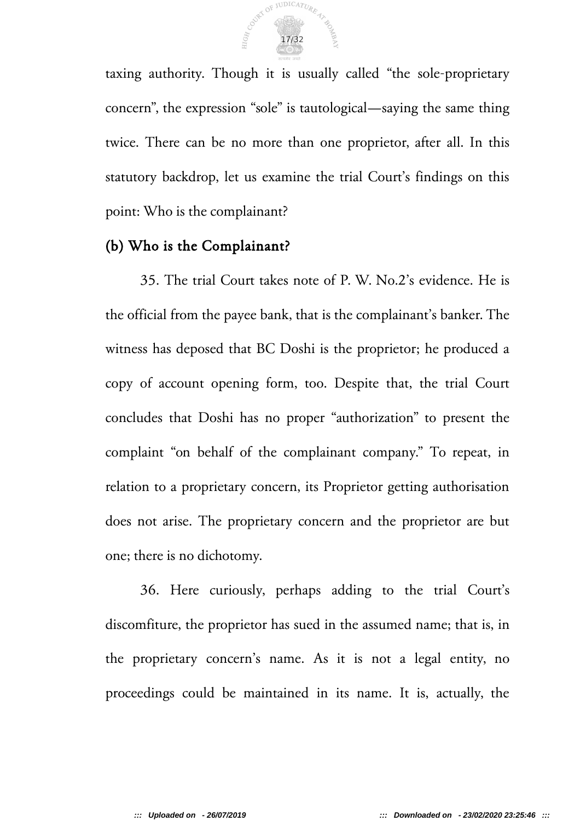

taxing authority. Though it is usually called "the sole-proprietary concern", the expression "sole" is tautological—saying the same thing twice. There can be no more than one proprietor, after all. In this statutory backdrop, let us examine the trial Court's findings on this point: Who is the complainant?

### (b) Who is the Complainant?

35. The trial Court takes note of P. W. No.2's evidence. He is the official from the payee bank, that is the complainant's banker. The witness has deposed that BC Doshi is the proprietor; he produced a copy of account opening form, too. Despite that, the trial Court concludes that Doshi has no proper "authorization" to present the complaint "on behalf of the complainant company." To repeat, in relation to a proprietary concern, its Proprietor getting authorisation does not arise. The proprietary concern and the proprietor are but one; there is no dichotomy.

36. Here curiously, perhaps adding to the trial Court's discomfiture, the proprietor has sued in the assumed name; that is, in the proprietary concern's name. As it is not a legal entity, no proceedings could be maintained in its name. It is, actually, the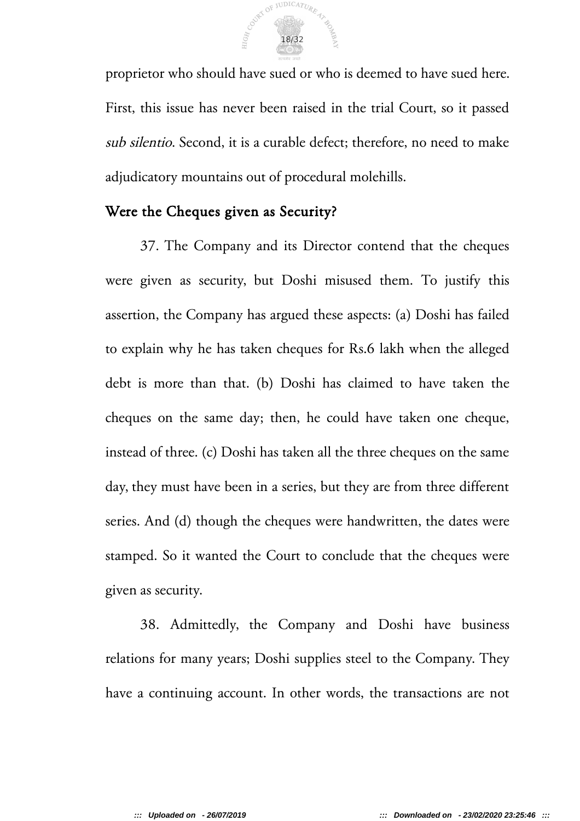

proprietor who should have sued or who is deemed to have sued here. First, this issue has never been raised in the trial Court, so it passed sub silentio. Second, it is a curable defect; therefore, no need to make adjudicatory mountains out of procedural molehills.

### Were the Cheques given as Security?

37. The Company and its Director contend that the cheques were given as security, but Doshi misused them. To justify this assertion, the Company has argued these aspects: (a) Doshi has failed to explain why he has taken cheques for Rs.6 lakh when the alleged debt is more than that. (b) Doshi has claimed to have taken the cheques on the same day; then, he could have taken one cheque, instead of three. (c) Doshi has taken all the three cheques on the same day, they must have been in a series, but they are from three different series. And (d) though the cheques were handwritten, the dates were stamped. So it wanted the Court to conclude that the cheques were given as security.

38. Admittedly, the Company and Doshi have business relations for many years; Doshi supplies steel to the Company. They have a continuing account. In other words, the transactions are not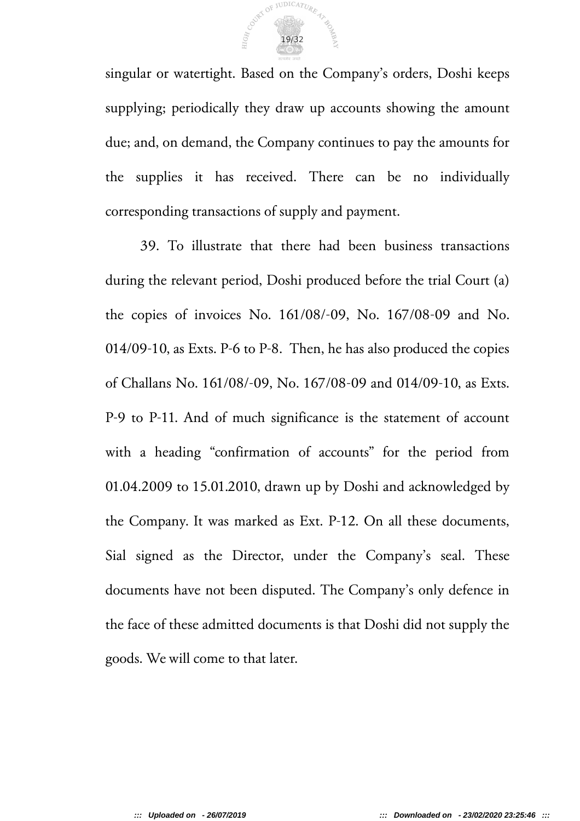

singular or watertight. Based on the Company's orders, Doshi keeps supplying; periodically they draw up accounts showing the amount due; and, on demand, the Company continues to pay the amounts for the supplies it has received. There can be no individually corresponding transactions of supply and payment.

39. To illustrate that there had been business transactions during the relevant period, Doshi produced before the trial Court (a) the copies of invoices No. 161/08/-09, No. 167/08-09 and No. 014/09-10, as Exts. P-6 to P-8. Then, he has also produced the copies of Challans No. 161/08/-09, No. 167/08-09 and 014/09-10, as Exts. P-9 to P-11. And of much significance is the statement of account with a heading "confirmation of accounts" for the period from 01.04.2009 to 15.01.2010, drawn up by Doshi and acknowledged by the Company. It was marked as Ext. P-12. On all these documents, Sial signed as the Director, under the Company's seal. These documents have not been disputed. The Company's only defence in the face of these admitted documents is that Doshi did not supply the goods. We will come to that later.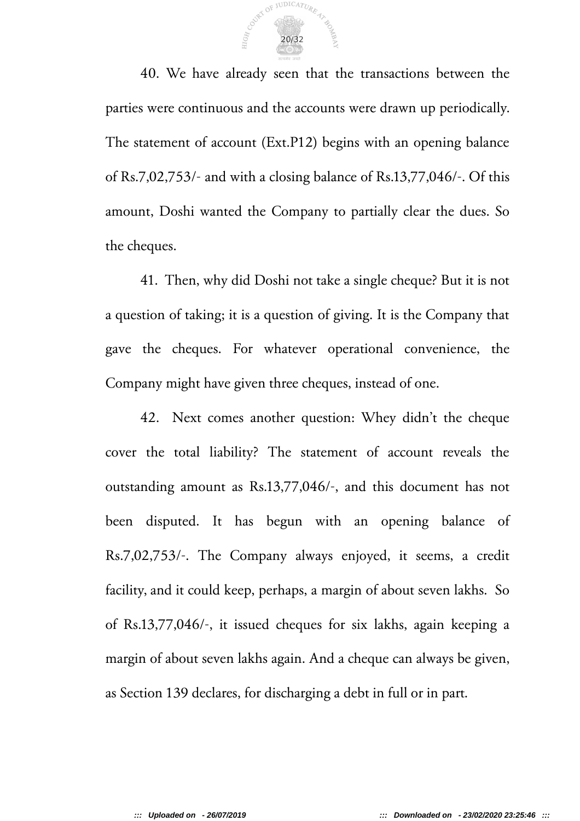

40. We have already seen that the transactions between the parties were continuous and the accounts were drawn up periodically. The statement of account (Ext.P12) begins with an opening balance of Rs.7,02,753/- and with a closing balance of Rs.13,77,046/-. Of this amount, Doshi wanted the Company to partially clear the dues. So the cheques.

41. Then, why did Doshi not take a single cheque? But it is not a question of taking; it is a question of giving. It is the Company that gave the cheques. For whatever operational convenience, the Company might have given three cheques, instead of one.

42. Next comes another question: Whey didn't the cheque cover the total liability? The statement of account reveals the outstanding amount as Rs.13,77,046/-, and this document has not been disputed. It has begun with an opening balance of Rs.7,02,753/-. The Company always enjoyed, it seems, a credit facility, and it could keep, perhaps, a margin of about seven lakhs. So of Rs.13,77,046/-, it issued cheques for six lakhs, again keeping a margin of about seven lakhs again. And a cheque can always be given, as Section 139 declares, for discharging a debt in full or in part.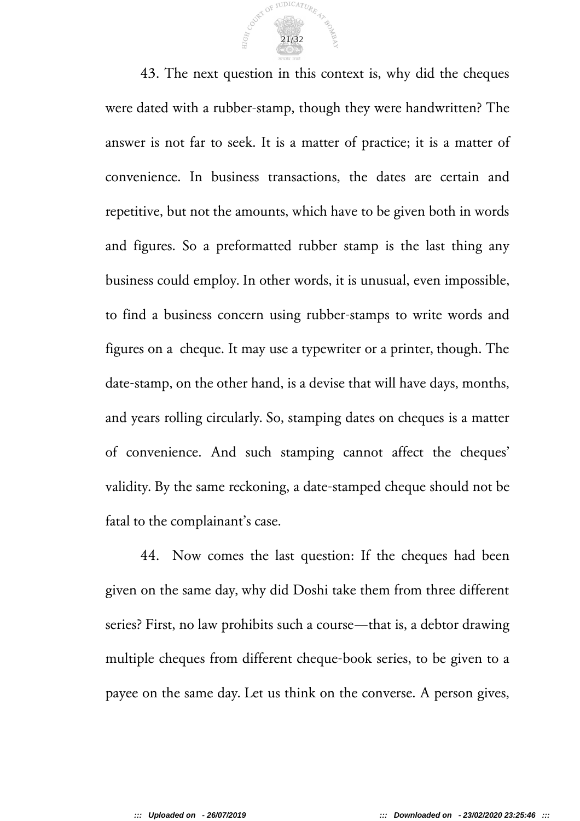

43. The next question in this context is, why did the cheques were dated with a rubber-stamp, though they were handwritten? The answer is not far to seek. It is a matter of practice; it is a matter of convenience. In business transactions, the dates are certain and repetitive, but not the amounts, which have to be given both in words and figures. So a preformatted rubber stamp is the last thing any business could employ. In other words, it is unusual, even impossible, to find a business concern using rubber-stamps to write words and figures on a cheque. It may use a typewriter or a printer, though. The date-stamp, on the other hand, is a devise that will have days, months, and years rolling circularly. So, stamping dates on cheques is a matter of convenience. And such stamping cannot affect the cheques' validity. By the same reckoning, a date-stamped cheque should not be fatal to the complainant's case.

44. Now comes the last question: If the cheques had been given on the same day, why did Doshi take them from three different series? First, no law prohibits such a course—that is, a debtor drawing multiple cheques from different cheque-book series, to be given to a payee on the same day. Let us think on the converse. A person gives,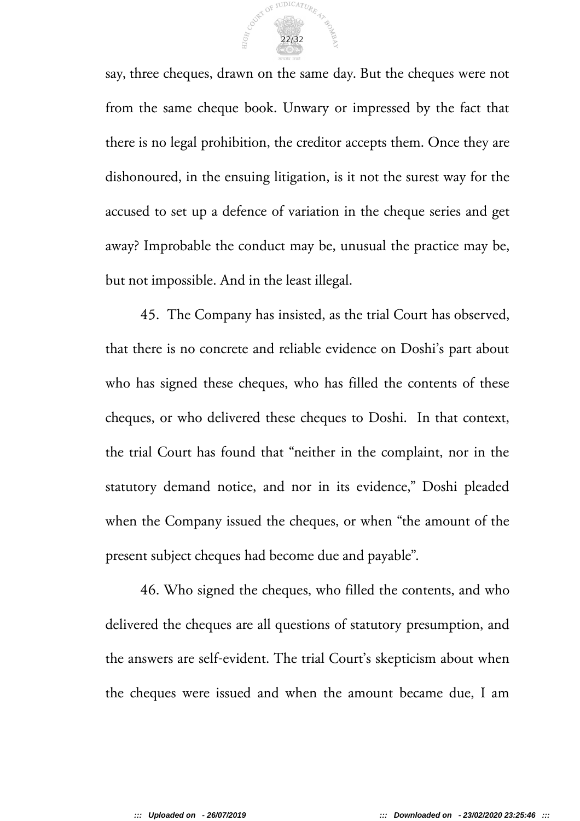

say, three cheques, drawn on the same day. But the cheques were not from the same cheque book. Unwary or impressed by the fact that there is no legal prohibition, the creditor accepts them. Once they are dishonoured, in the ensuing litigation, is it not the surest way for the accused to set up a defence of variation in the cheque series and get away? Improbable the conduct may be, unusual the practice may be, but not impossible. And in the least illegal.

45. The Company has insisted, as the trial Court has observed, that there is no concrete and reliable evidence on Doshi's part about who has signed these cheques, who has filled the contents of these cheques, or who delivered these cheques to Doshi. In that context, the trial Court has found that "neither in the complaint, nor in the statutory demand notice, and nor in its evidence," Doshi pleaded when the Company issued the cheques, or when "the amount of the present subject cheques had become due and payable".

46. Who signed the cheques, who filled the contents, and who delivered the cheques are all questions of statutory presumption, and the answers are self-evident. The trial Court's skepticism about when the cheques were issued and when the amount became due, I am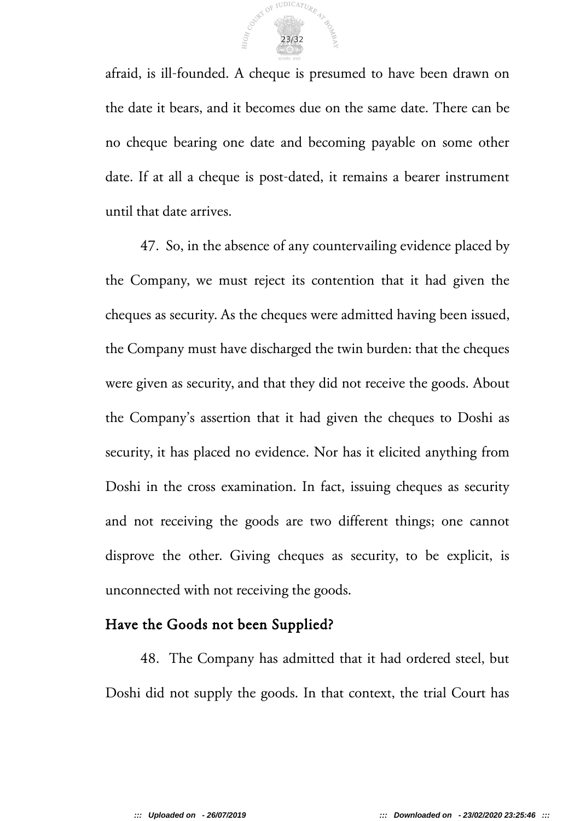

afraid, is ill-founded. A cheque is presumed to have been drawn on the date it bears, and it becomes due on the same date. There can be no cheque bearing one date and becoming payable on some other date. If at all a cheque is post-dated, it remains a bearer instrument until that date arrives.

47. So, in the absence of any countervailing evidence placed by the Company, we must reject its contention that it had given the cheques as security. As the cheques were admitted having been issued, the Company must have discharged the twin burden: that the cheques were given as security, and that they did not receive the goods. About the Company's assertion that it had given the cheques to Doshi as security, it has placed no evidence. Nor has it elicited anything from Doshi in the cross examination. In fact, issuing cheques as security and not receiving the goods are two different things; one cannot disprove the other. Giving cheques as security, to be explicit, is unconnected with not receiving the goods.

### Have the Goods not been Supplied?

48. The Company has admitted that it had ordered steel, but Doshi did not supply the goods. In that context, the trial Court has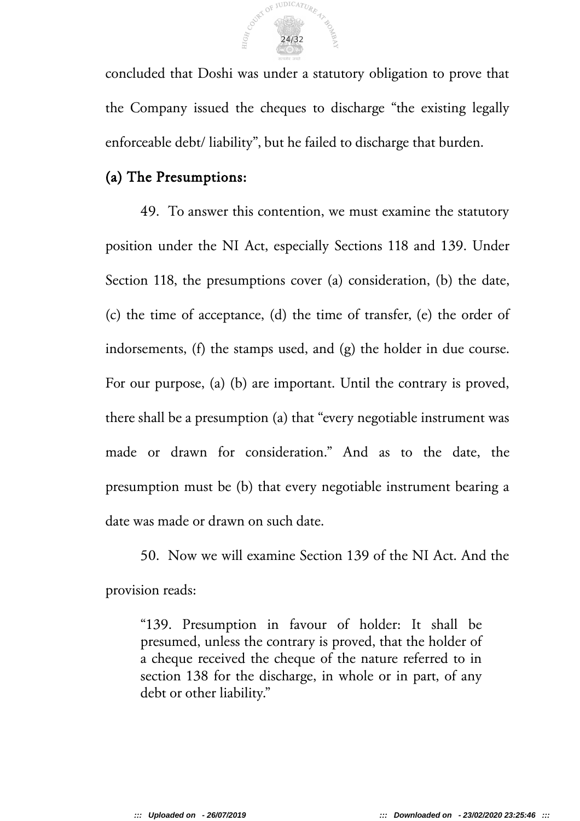

concluded that Doshi was under a statutory obligation to prove that the Company issued the cheques to discharge "the existing legally enforceable debt/ liability", but he failed to discharge that burden.

### (a) The Presumptions:

49. To answer this contention, we must examine the statutory position under the NI Act, especially Sections 118 and 139. Under Section 118, the presumptions cover (a) consideration, (b) the date, (c) the time of acceptance, (d) the time of transfer, (e) the order of indorsements, (f) the stamps used, and (g) the holder in due course. For our purpose, (a) (b) are important. Until the contrary is proved, there shall be a presumption (a) that "every negotiable instrument was made or drawn for consideration." And as to the date, the presumption must be (b) that every negotiable instrument bearing a date was made or drawn on such date.

50. Now we will examine Section 139 of the NI Act. And the provision reads:

"139. Presumption in favour of holder: It shall be presumed, unless the contrary is proved, that the holder of a cheque received the cheque of the nature referred to in section 138 for the discharge, in whole or in part, of any debt or other liability."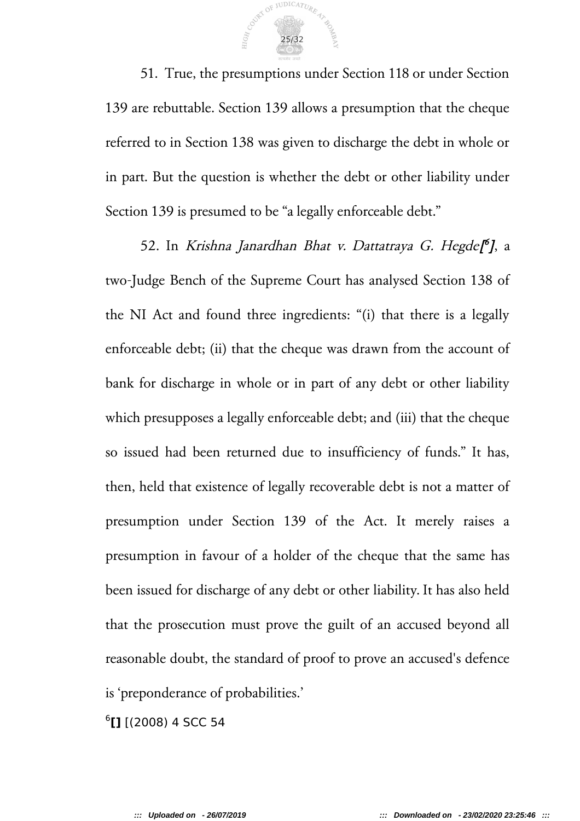

51. True, the presumptions under Section 118 or under Section 139 are rebuttable. Section 139 allows a presumption that the cheque referred to in Section 138 was given to discharge the debt in whole or in part. But the question is whether the debt or other liability under Section 139 is presumed to be "a legally enforceable debt."

52. In *Krishna Janardhan Bhat v. Dattatraya G. Hegde[<sup>6</sup>], a* two-Judge Bench of the Supreme Court has analysed Section 138 of the NI Act and found three ingredients: "(i) that there is a legally enforceable debt; (ii) that the cheque was drawn from the account of bank for discharge in whole or in part of any debt or other liability which presupposes a legally enforceable debt; and (iii) that the cheque so issued had been returned due to insufficiency of funds." It has, then, held that existence of legally recoverable debt is not a matter of presumption under Section 139 of the Act. It merely raises a presumption in favour of a holder of the cheque that the same has been issued for discharge of any debt or other liability. It has also held that the prosecution must prove the guilt of an accused beyond all reasonable doubt, the standard of proof to prove an accused's defence is 'preponderance of probabilities.'

6 **[]** [(2008) 4 SCC 54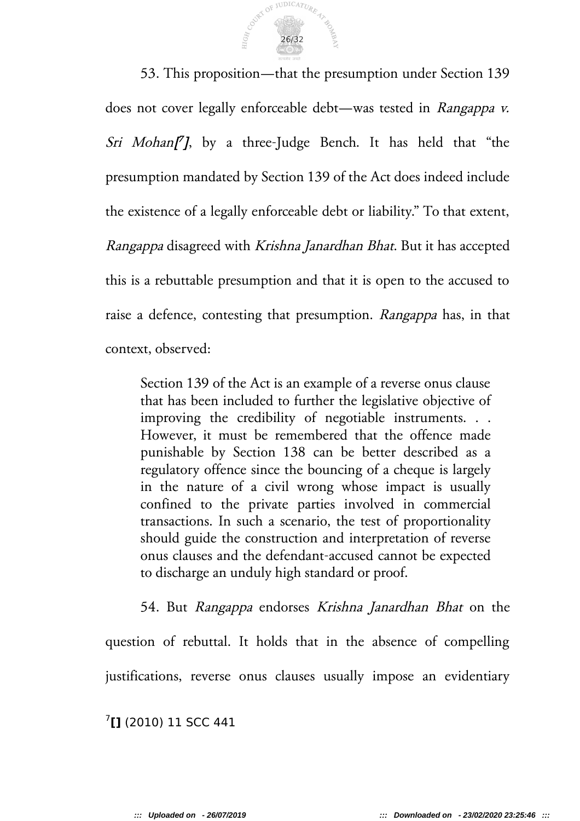

53. This proposition—that the presumption under Section 139 does not cover legally enforceable debt—was tested in Rangappa v. Sri Mohan[7], by a three-Judge Bench. It has held that "the presumption mandated by Section 139 of the Act does indeed include the existence of a legally enforceable debt or liability." To that extent, Rangappa disagreed with Krishna Janardhan Bhat. But it has accepted this is a rebuttable presumption and that it is open to the accused to raise a defence, contesting that presumption. Rangappa has, in that context, observed:

Section 139 of the Act is an example of a reverse onus clause that has been included to further the legislative objective of improving the credibility of negotiable instruments. . . However, it must be remembered that the offence made punishable by Section 138 can be better described as a regulatory offence since the bouncing of a cheque is largely in the nature of a civil wrong whose impact is usually confined to the private parties involved in commercial transactions. In such a scenario, the test of proportionality should guide the construction and interpretation of reverse onus clauses and the defendant-accused cannot be expected to discharge an unduly high standard or proof.

54. But Rangappa endorses Krishna Janardhan Bhat on the question of rebuttal. It holds that in the absence of compelling justifications, reverse onus clauses usually impose an evidentiary

7 **[]** (2010) 11 SCC 441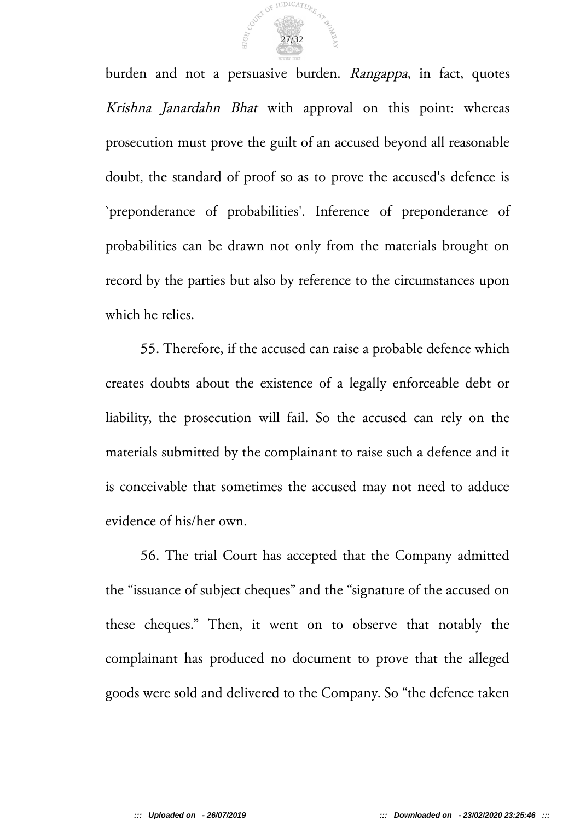

burden and not a persuasive burden. Rangappa, in fact, quotes Krishna Janardahn Bhat with approval on this point: whereas prosecution must prove the guilt of an accused beyond all reasonable doubt, the standard of proof so as to prove the accused's defence is `preponderance of probabilities'. Inference of preponderance of probabilities can be drawn not only from the materials brought on record by the parties but also by reference to the circumstances upon which he relies.

55. Therefore, if the accused can raise a probable defence which creates doubts about the existence of a legally enforceable debt or liability, the prosecution will fail. So the accused can rely on the materials submitted by the complainant to raise such a defence and it is conceivable that sometimes the accused may not need to adduce evidence of his/her own.

56. The trial Court has accepted that the Company admitted the "issuance of subject cheques" and the "signature of the accused on these cheques." Then, it went on to observe that notably the complainant has produced no document to prove that the alleged goods were sold and delivered to the Company. So "the defence taken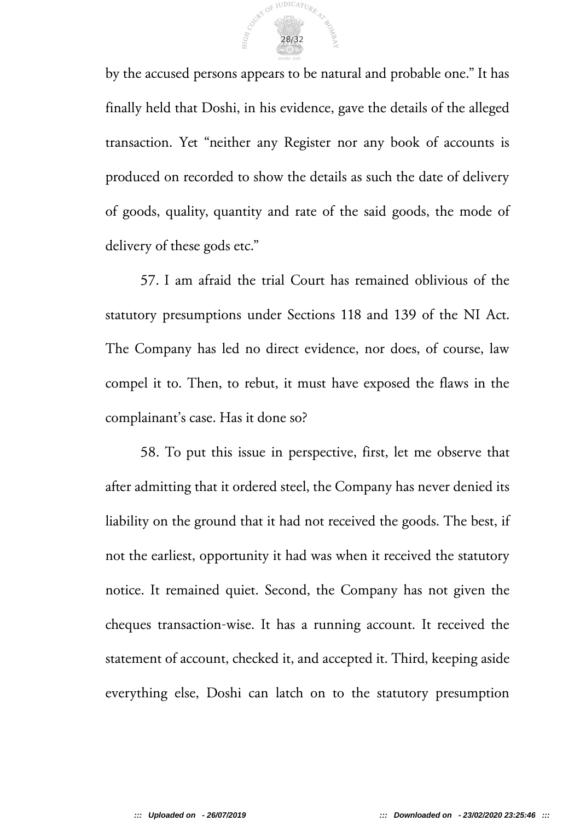

by the accused persons appears to be natural and probable one." It has finally held that Doshi, in his evidence, gave the details of the alleged transaction. Yet "neither any Register nor any book of accounts is produced on recorded to show the details as such the date of delivery of goods, quality, quantity and rate of the said goods, the mode of delivery of these gods etc."

57. I am afraid the trial Court has remained oblivious of the statutory presumptions under Sections 118 and 139 of the NI Act. The Company has led no direct evidence, nor does, of course, law compel it to. Then, to rebut, it must have exposed the flaws in the complainant's case. Has it done so?

58. To put this issue in perspective, first, let me observe that after admitting that it ordered steel, the Company has never denied its liability on the ground that it had not received the goods. The best, if not the earliest, opportunity it had was when it received the statutory notice. It remained quiet. Second, the Company has not given the cheques transaction-wise. It has a running account. It received the statement of account, checked it, and accepted it. Third, keeping aside everything else, Doshi can latch on to the statutory presumption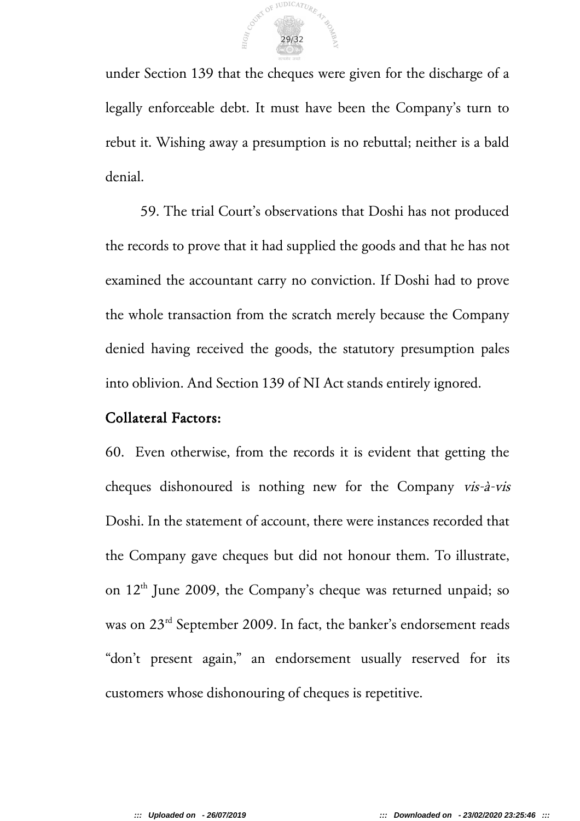

under Section 139 that the cheques were given for the discharge of a legally enforceable debt. It must have been the Company's turn to rebut it. Wishing away a presumption is no rebuttal; neither is a bald denial.

59. The trial Court's observations that Doshi has not produced the records to prove that it had supplied the goods and that he has not examined the accountant carry no conviction. If Doshi had to prove the whole transaction from the scratch merely because the Company denied having received the goods, the statutory presumption pales into oblivion. And Section 139 of NI Act stands entirely ignored.

#### Collateral Factors:

60. Even otherwise, from the records it is evident that getting the cheques dishonoured is nothing new for the Company vis-à-vis Doshi. In the statement of account, there were instances recorded that the Company gave cheques but did not honour them. To illustrate, on  $12<sup>th</sup>$  June 2009, the Company's cheque was returned unpaid; so was on 23<sup>rd</sup> September 2009. In fact, the banker's endorsement reads "don't present again," an endorsement usually reserved for its customers whose dishonouring of cheques is repetitive.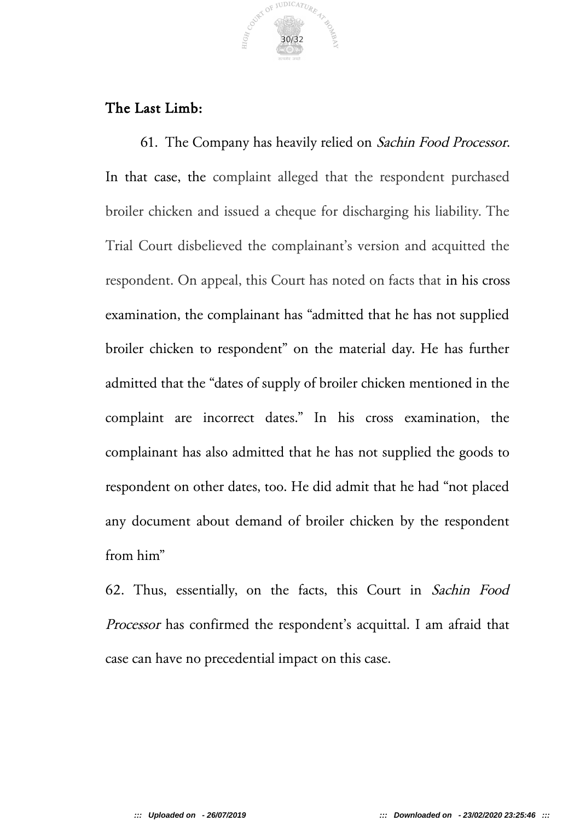

# The Last Limb:

61. The Company has heavily relied on Sachin Food Processor. In that case, the complaint alleged that the respondent purchased broiler chicken and issued a cheque for discharging his liability. The Trial Court disbelieved the complainant's version and acquitted the respondent. On appeal, this Court has noted on facts that in his cross examination, the complainant has "admitted that he has not supplied broiler chicken to respondent" on the material day. He has further admitted that the "dates of supply of broiler chicken mentioned in the complaint are incorrect dates." In his cross examination, the complainant has also admitted that he has not supplied the goods to respondent on other dates, too. He did admit that he had "not placed any document about demand of broiler chicken by the respondent from him"

62. Thus, essentially, on the facts, this Court in Sachin Food Processor has confirmed the respondent's acquittal. I am afraid that case can have no precedential impact on this case.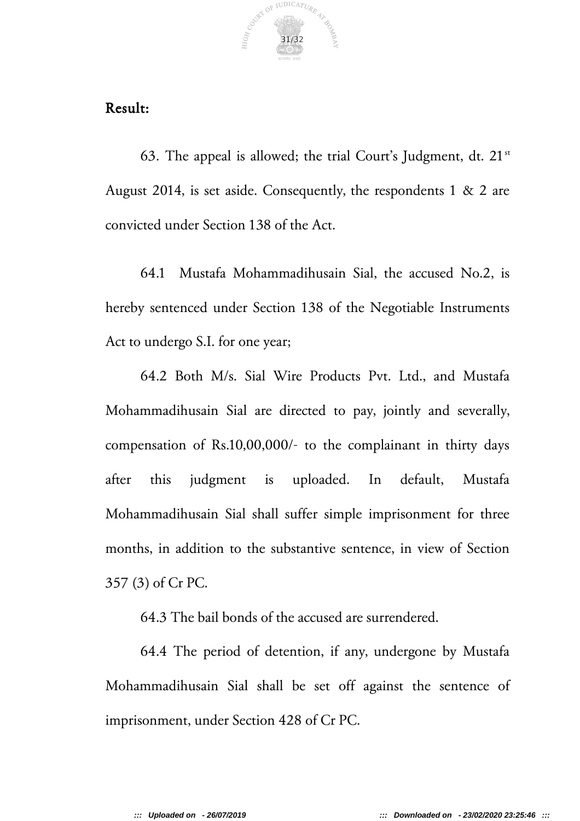

# Result:

63. The appeal is allowed; the trial Court's Judgment, dt.  $21^{st}$ August 2014, is set aside. Consequently, the respondents 1 & 2 are convicted under Section 138 of the Act.

64.1 Mustafa Mohammadihusain Sial, the accused No.2, is hereby sentenced under Section 138 of the Negotiable Instruments Act to undergo S.I. for one year;

64.2 Both M/s. Sial Wire Products Pvt. Ltd., and Mustafa Mohammadihusain Sial are directed to pay, jointly and severally, compensation of Rs.10,00,000/- to the complainant in thirty days after this judgment is uploaded. In default, Mustafa Mohammadihusain Sial shall suffer simple imprisonment for three months, in addition to the substantive sentence, in view of Section 357 (3) of Cr PC.

64.3 The bail bonds of the accused are surrendered.

64.4 The period of detention, if any, undergone by Mustafa Mohammadihusain Sial shall be set off against the sentence of imprisonment, under Section 428 of Cr PC.